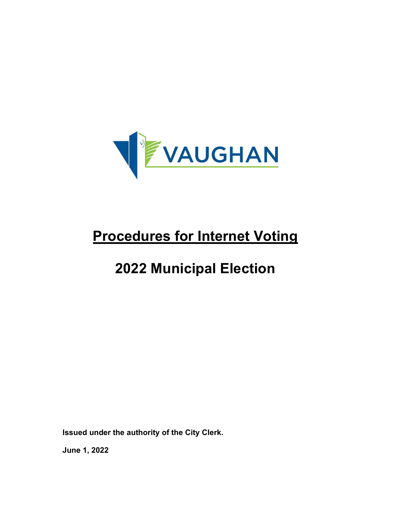

# **2022 Municipal Election**

**Issued under the authority of the City Clerk.**

**June 1, 2022**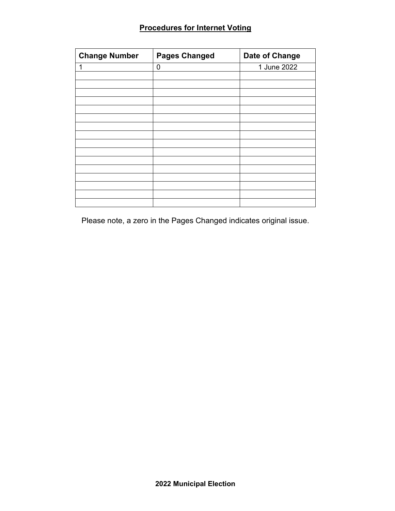| <b>Change Number</b> | <b>Pages Changed</b> | Date of Change |
|----------------------|----------------------|----------------|
|                      | 0                    | 1 June 2022    |
|                      |                      |                |
|                      |                      |                |
|                      |                      |                |
|                      |                      |                |
|                      |                      |                |
|                      |                      |                |
|                      |                      |                |
|                      |                      |                |
|                      |                      |                |
|                      |                      |                |
|                      |                      |                |
|                      |                      |                |
|                      |                      |                |
|                      |                      |                |

Please note, a zero in the Pages Changed indicates original issue.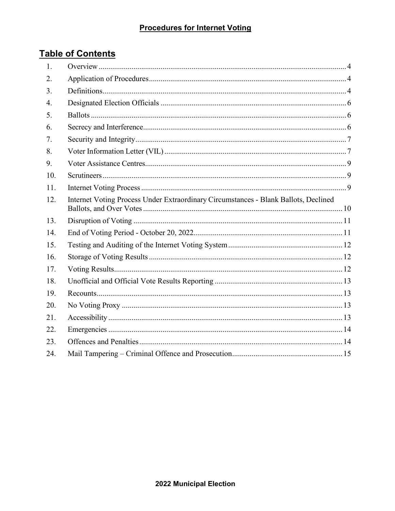# **Table of Contents**

| 1.  |                                                                                     |  |
|-----|-------------------------------------------------------------------------------------|--|
| 2.  |                                                                                     |  |
| 3.  |                                                                                     |  |
| 4.  |                                                                                     |  |
| 5.  |                                                                                     |  |
| 6.  |                                                                                     |  |
| 7.  |                                                                                     |  |
| 8.  |                                                                                     |  |
| 9.  |                                                                                     |  |
| 10. |                                                                                     |  |
| 11. |                                                                                     |  |
| 12. | Internet Voting Process Under Extraordinary Circumstances - Blank Ballots, Declined |  |
| 13. |                                                                                     |  |
| 14. |                                                                                     |  |
| 15. |                                                                                     |  |
| 16. |                                                                                     |  |
| 17. |                                                                                     |  |
| 18. |                                                                                     |  |
| 19. |                                                                                     |  |
| 20. |                                                                                     |  |
| 21. |                                                                                     |  |
| 22. |                                                                                     |  |
| 23. |                                                                                     |  |
| 24. |                                                                                     |  |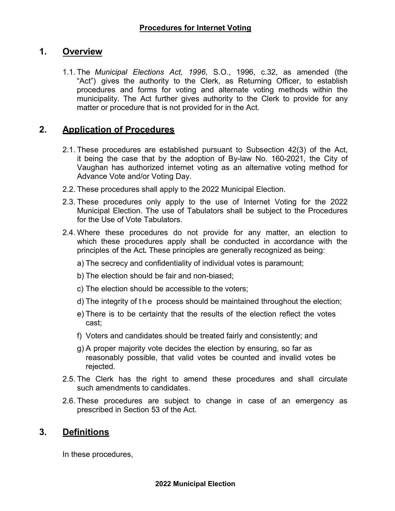#### <span id="page-3-0"></span>**1. Overview**

1.1. The *Municipal Elections Act, 1996*, S.O., 1996, c.32, as amended (the "Act") gives the authority to the Clerk, as Returning Officer, to establish procedures and forms for voting and alternate voting methods within the municipality. The Act further gives authority to the Clerk to provide for any matter or procedure that is not provided for in the Act.

#### <span id="page-3-1"></span>**2. Application of Procedures**

- 2.1. These procedures are established pursuant to Subsection 42(3) of the Act, it being the case that by the adoption of By-law No. 160-2021, the City of Vaughan has authorized internet voting as an alternative voting method for Advance Vote and/or Voting Day.
- 2.2. These procedures shall apply to the 2022 Municipal Election.
- 2.3. These procedures only apply to the use of Internet Voting for the 2022 Municipal Election. The use of Tabulators shall be subject to the Procedures for the Use of Vote Tabulators.
- 2.4. Where these procedures do not provide for any matter, an election to which these procedures apply shall be conducted in accordance with the principles of the Act*.* These principles are generally recognized as being:
	- a) The secrecy and confidentiality of individual votes is paramount;
	- b) The election should be fair and non-biased;
	- c) The election should be accessible to the voters;
	- d) The integrity of the process should be maintained throughout the election;
	- e) There is to be certainty that the results of the election reflect the votes cast;
	- f) Voters and candidates should be treated fairly and consistently; and
	- g) A proper majority vote decides the election by ensuring, so far as reasonably possible, that valid votes be counted and invalid votes be rejected.
- 2.5. The Clerk has the right to amend these procedures and shall circulate such amendments to candidates.
- 2.6. These procedures are subject to change in case of an emergency as prescribed in Section 53 of the Act*.*

#### <span id="page-3-2"></span>**3. Definitions**

In these procedures,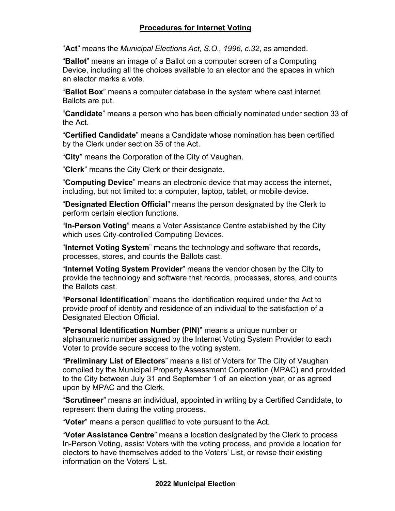"**Act**" means the *Municipal Elections Act, S.O., 1996, c.32*, as amended.

"**Ballot**" means an image of a Ballot on a computer screen of a Computing Device, including all the choices available to an elector and the spaces in which an elector marks a vote.

"**Ballot Box**" means a computer database in the system where cast internet Ballots are put.

"**Candidate**" means a person who has been officially nominated under section 33 of the Act.

"**Certified Candidate**" means a Candidate whose nomination has been certified by the Clerk under section 35 of the Act.

"**City**" means the Corporation of the City of Vaughan.

"**Clerk**" means the City Clerk or their designate.

"**Computing Device**" means an electronic device that may access the internet, including, but not limited to: a computer, laptop, tablet, or mobile device.

"**Designated Election Official**" means the person designated by the Clerk to perform certain election functions.

"**In-Person Voting**" means a Voter Assistance Centre established by the City which uses City-controlled Computing Devices.

"**Internet Voting System**" means the technology and software that records, processes, stores, and counts the Ballots cast.

"**Internet Voting System Provider**" means the vendor chosen by the City to provide the technology and software that records, processes, stores, and counts the Ballots cast.

"**Personal Identification**" means the identification required under the Act to provide proof of identity and residence of an individual to the satisfaction of a Designated Election Official.

"**Personal Identification Number (PIN)**" means a unique number or alphanumeric number assigned by the Internet Voting System Provider to each Voter to provide secure access to the voting system.

"**Preliminary List of Electors**" means a list of Voters for The City of Vaughan compiled by the Municipal Property Assessment Corporation (MPAC) and provided to the City between July 31 and September 1 of an election year, or as agreed upon by MPAC and the Clerk.

"**Scrutineer**" means an individual, appointed in writing by a Certified Candidate, to represent them during the voting process.

"**Voter**" means a person qualified to vote pursuant to the Act.

"**Voter Assistance Centre**" means a location designated by the Clerk to process In-Person Voting, assist Voters with the voting process, and provide a location for electors to have themselves added to the Voters' List, or revise their existing information on the Voters' List.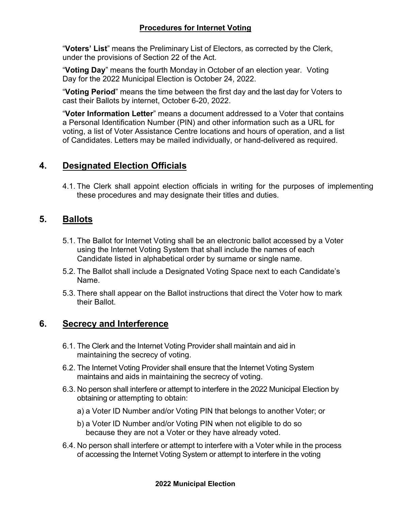"**Voters' List**" means the Preliminary List of Electors, as corrected by the Clerk, under the provisions of Section 22 of the Act.

"**Voting Day**" means the fourth Monday in October of an election year. Voting Day for the 2022 Municipal Election is October 24, 2022.

"**Voting Period**" means the time between the first day and the last day for Voters to cast their Ballots by internet, October 6-20, 2022.

"**Voter Information Letter**" means a document addressed to a Voter that contains a Personal Identification Number (PIN) and other information such as a URL for voting, a list of Voter Assistance Centre locations and hours of operation, and a list of Candidates. Letters may be mailed individually, or hand-delivered as required.

## <span id="page-5-0"></span>**4. Designated Election Officials**

4.1. The Clerk shall appoint election officials in writing for the purposes of implementing these procedures and may designate their titles and duties.

## <span id="page-5-1"></span>**5. Ballots**

- 5.1. The Ballot for Internet Voting shall be an electronic ballot accessed by a Voter using the Internet Voting System that shall include the names of each Candidate listed in alphabetical order by surname or single name.
- 5.2. The Ballot shall include a Designated Voting Space next to each Candidate's Name.
- 5.3. There shall appear on the Ballot instructions that direct the Voter how to mark their Ballot.

## <span id="page-5-2"></span>**6. Secrecy and Interference**

- 6.1. The Clerk and the Internet Voting Provider shall maintain and aid in maintaining the secrecy of voting.
- 6.2. The Internet Voting Provider shall ensure that the Internet Voting System maintains and aids in maintaining the secrecy of voting.
- 6.3. No person shall interfere or attempt to interfere in the 2022 Municipal Election by obtaining or attempting to obtain:
	- a) a Voter ID Number and/or Voting PIN that belongs to another Voter; or
	- b) a Voter ID Number and/or Voting PIN when not eligible to do so because they are not a Voter or they have already voted.
- 6.4. No person shall interfere or attempt to interfere with a Voter while in the process of accessing the Internet Voting System or attempt to interfere in the voting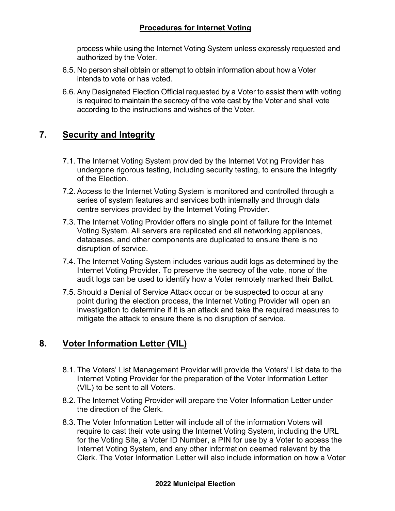process while using the Internet Voting System unless expressly requested and authorized by the Voter.

- 6.5. No person shall obtain or attempt to obtain information about how a Voter intends to vote or has voted.
- 6.6. Any Designated Election Official requested by a Voter to assist them with voting is required to maintain the secrecy of the vote cast by the Voter and shall vote according to the instructions and wishes of the Voter.

## <span id="page-6-0"></span>**7. Security and Integrity**

- 7.1. The Internet Voting System provided by the Internet Voting Provider has undergone rigorous testing, including security testing, to ensure the integrity of the Election.
- 7.2. Access to the Internet Voting System is monitored and controlled through a series of system features and services both internally and through data centre services provided by the Internet Voting Provider.
- 7.3. The Internet Voting Provider offers no single point of failure for the Internet Voting System. All servers are replicated and all networking appliances, databases, and other components are duplicated to ensure there is no disruption of service.
- 7.4. The Internet Voting System includes various audit logs as determined by the Internet Voting Provider. To preserve the secrecy of the vote, none of the audit logs can be used to identify how a Voter remotely marked their Ballot.
- 7.5. Should a Denial of Service Attack occur or be suspected to occur at any point during the election process, the Internet Voting Provider will open an investigation to determine if it is an attack and take the required measures to mitigate the attack to ensure there is no disruption of service.

# <span id="page-6-1"></span>**8. Voter Information Letter (VIL)**

- 8.1. The Voters' List Management Provider will provide the Voters' List data to the Internet Voting Provider for the preparation of the Voter Information Letter (VIL) to be sent to all Voters.
- 8.2. The Internet Voting Provider will prepare the Voter Information Letter under the direction of the Clerk.
- 8.3. The Voter Information Letter will include all of the information Voters will require to cast their vote using the Internet Voting System, including the URL for the Voting Site, a Voter ID Number, a PIN for use by a Voter to access the Internet Voting System, and any other information deemed relevant by the Clerk. The Voter Information Letter will also include information on how a Voter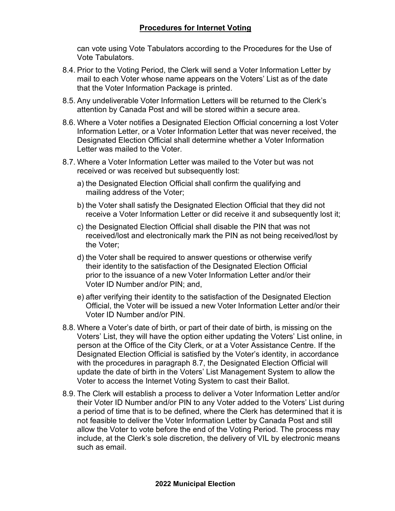can vote using Vote Tabulators according to the Procedures for the Use of Vote Tabulators.

- 8.4. Prior to the Voting Period, the Clerk will send a Voter Information Letter by mail to each Voter whose name appears on the Voters' List as of the date that the Voter Information Package is printed.
- 8.5. Any undeliverable Voter Information Letters will be returned to the Clerk's attention by Canada Post and will be stored within a secure area.
- 8.6. Where a Voter notifies a Designated Election Official concerning a lost Voter Information Letter, or a Voter Information Letter that was never received, the Designated Election Official shall determine whether a Voter Information Letter was mailed to the Voter.
- 8.7. Where a Voter Information Letter was mailed to the Voter but was not received or was received but subsequently lost:
	- a) the Designated Election Official shall confirm the qualifying and mailing address of the Voter;
	- b) the Voter shall satisfy the Designated Election Official that they did not receive a Voter Information Letter or did receive it and subsequently lost it;
	- c) the Designated Election Official shall disable the PIN that was not received/lost and electronically mark the PIN as not being received/lost by the Voter;
	- d) the Voter shall be required to answer questions or otherwise verify their identity to the satisfaction of the Designated Election Official prior to the issuance of a new Voter Information Letter and/or their Voter ID Number and/or PIN; and,
	- e) after verifying their identity to the satisfaction of the Designated Election Official, the Voter will be issued a new Voter Information Letter and/or their Voter ID Number and/or PIN.
- 8.8. Where a Voter's date of birth, or part of their date of birth, is missing on the Voters' List, they will have the option either updating the Voters' List online, in person at the Office of the City Clerk, or at a Voter Assistance Centre. If the Designated Election Official is satisfied by the Voter's identity, in accordance with the procedures in paragraph 8.7, the Designated Election Official will update the date of birth in the Voters' List Management System to allow the Voter to access the Internet Voting System to cast their Ballot.
- 8.9. The Clerk will establish a process to deliver a Voter Information Letter and/or their Voter ID Number and/or PIN to any Voter added to the Voters' List during a period of time that is to be defined, where the Clerk has determined that it is not feasible to deliver the Voter Information Letter by Canada Post and still allow the Voter to vote before the end of the Voting Period. The process may include, at the Clerk's sole discretion, the delivery of VIL by electronic means such as email.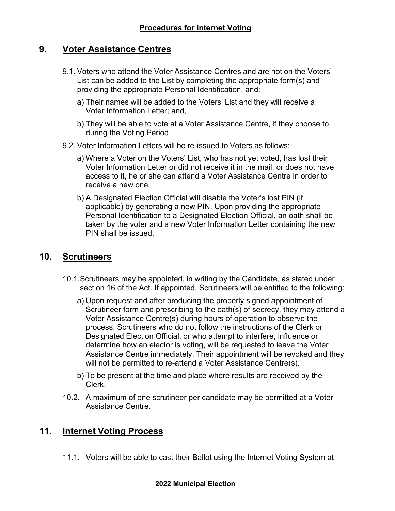## <span id="page-8-0"></span>**9. Voter Assistance Centres**

- 9.1. Voters who attend the Voter Assistance Centres and are not on the Voters' List can be added to the List by completing the appropriate form(s) and providing the appropriate Personal Identification, and:
	- a) Their names will be added to the Voters' List and they will receive a Voter Information Letter; and,
	- b) They will be able to vote at a Voter Assistance Centre, if they choose to, during the Voting Period.
- 9.2. Voter Information Letters will be re-issued to Voters as follows:
	- a) Where a Voter on the Voters' List, who has not yet voted, has lost their Voter Information Letter or did not receive it in the mail, or does not have access to it, he or she can attend a Voter Assistance Centre in order to receive a new one.
	- b) A Designated Election Official will disable the Voter's lost PIN (if applicable) by generating a new PIN. Upon providing the appropriate Personal Identification to a Designated Election Official, an oath shall be taken by the voter and a new Voter Information Letter containing the new PIN shall be issued.

### <span id="page-8-1"></span>**10. Scrutineers**

- 10.1.Scrutineers may be appointed, in writing by the Candidate, as stated under section 16 of the Act. If appointed, Scrutineers will be entitled to the following:
	- a) Upon request and after producing the properly signed appointment of Scrutineer form and prescribing to the oath(s) of secrecy, they may attend a Voter Assistance Centre(s) during hours of operation to observe the process. Scrutineers who do not follow the instructions of the Clerk or Designated Election Official, or who attempt to interfere, influence or determine how an elector is voting, will be requested to leave the Voter Assistance Centre immediately. Their appointment will be revoked and they will not be permitted to re-attend a Voter Assistance Centre(s).
	- b) To be present at the time and place where results are received by the Clerk.
- 10.2. A maximum of one scrutineer per candidate may be permitted at a Voter Assistance Centre.

### <span id="page-8-2"></span>**11. Internet Voting Process**

11.1. Voters will be able to cast their Ballot using the Internet Voting System at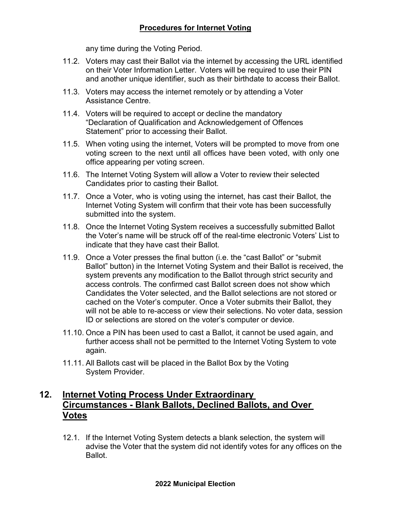any time during the Voting Period.

- 11.2. Voters may cast their Ballot via the internet by accessing the URL identified on their Voter Information Letter. Voters will be required to use their PIN and another unique identifier, such as their birthdate to access their Ballot.
- 11.3. Voters may access the internet remotely or by attending a Voter Assistance Centre.
- 11.4. Voters will be required to accept or decline the mandatory "Declaration of Qualification and Acknowledgement of Offences Statement" prior to accessing their Ballot.
- 11.5. When voting using the internet, Voters will be prompted to move from one voting screen to the next until all offices have been voted, with only one office appearing per voting screen.
- 11.6. The Internet Voting System will allow a Voter to review their selected Candidates prior to casting their Ballot.
- 11.7. Once a Voter, who is voting using the internet, has cast their Ballot, the Internet Voting System will confirm that their vote has been successfully submitted into the system.
- 11.8. Once the Internet Voting System receives a successfully submitted Ballot the Voter's name will be struck off of the real-time electronic Voters' List to indicate that they have cast their Ballot.
- 11.9. Once a Voter presses the final button (i.e. the "cast Ballot" or "submit Ballot" button) in the Internet Voting System and their Ballot is received, the system prevents any modification to the Ballot through strict security and access controls. The confirmed cast Ballot screen does not show which Candidates the Voter selected, and the Ballot selections are not stored or cached on the Voter's computer. Once a Voter submits their Ballot, they will not be able to re-access or view their selections. No voter data, session ID or selections are stored on the voter's computer or device.
- 11.10. Once a PIN has been used to cast a Ballot, it cannot be used again, and further access shall not be permitted to the Internet Voting System to vote again.
- 11.11. All Ballots cast will be placed in the Ballot Box by the Voting System Provider.

## <span id="page-9-0"></span>**12. Internet Voting Process Under Extraordinary Circumstances - Blank Ballots, Declined Ballots, and Over Votes**

12.1. If the Internet Voting System detects a blank selection, the system will advise the Voter that the system did not identify votes for any offices on the Ballot.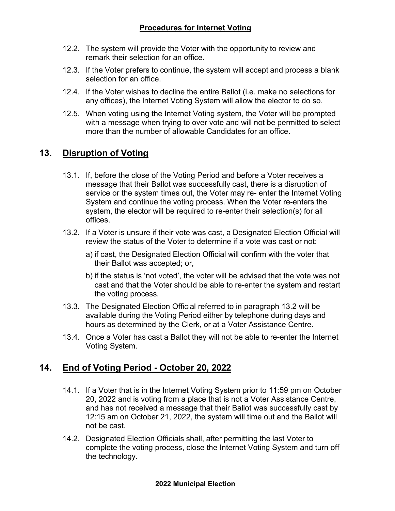- 12.2. The system will provide the Voter with the opportunity to review and remark their selection for an office.
- 12.3. If the Voter prefers to continue, the system will accept and process a blank selection for an office.
- 12.4. If the Voter wishes to decline the entire Ballot (i.e. make no selections for any offices), the Internet Voting System will allow the elector to do so.
- 12.5. When voting using the Internet Voting system, the Voter will be prompted with a message when trying to over vote and will not be permitted to select more than the number of allowable Candidates for an office.

# <span id="page-10-0"></span>**13. Disruption of Voting**

- 13.1. If, before the close of the Voting Period and before a Voter receives a message that their Ballot was successfully cast, there is a disruption of service or the system times out, the Voter may re- enter the Internet Voting System and continue the voting process. When the Voter re-enters the system, the elector will be required to re-enter their selection(s) for all offices.
- 13.2. If a Voter is unsure if their vote was cast, a Designated Election Official will review the status of the Voter to determine if a vote was cast or not:
	- a) if cast, the Designated Election Official will confirm with the voter that their Ballot was accepted; or,
	- b) if the status is 'not voted', the voter will be advised that the vote was not cast and that the Voter should be able to re-enter the system and restart the voting process.
- 13.3. The Designated Election Official referred to in paragraph 13.2 will be available during the Voting Period either by telephone during days and hours as determined by the Clerk, or at a Voter Assistance Centre.
- 13.4. Once a Voter has cast a Ballot they will not be able to re-enter the Internet Voting System.

## <span id="page-10-1"></span>**14. End of Voting Period - October 20, 2022**

- 14.1. If a Voter that is in the Internet Voting System prior to 11:59 pm on October 20, 2022 and is voting from a place that is not a Voter Assistance Centre, and has not received a message that their Ballot was successfully cast by 12:15 am on October 21, 2022, the system will time out and the Ballot will not be cast.
- 14.2. Designated Election Officials shall, after permitting the last Voter to complete the voting process, close the Internet Voting System and turn off the technology.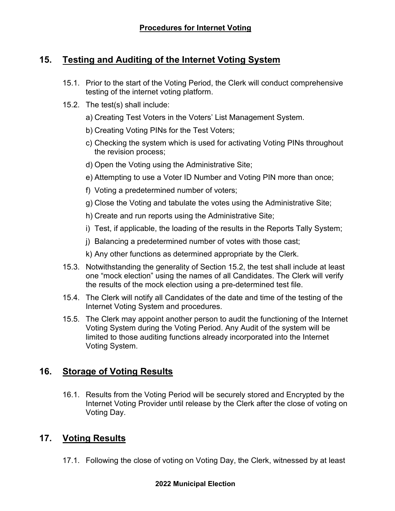## <span id="page-11-0"></span>**15. Testing and Auditing of the Internet Voting System**

- 15.1. Prior to the start of the Voting Period, the Clerk will conduct comprehensive testing of the internet voting platform.
- 15.2. The test(s) shall include:
	- a) Creating Test Voters in the Voters' List Management System.
	- b) Creating Voting PINs for the Test Voters;
	- c) Checking the system which is used for activating Voting PINs throughout the revision process;
	- d) Open the Voting using the Administrative Site;
	- e) Attempting to use a Voter ID Number and Voting PIN more than once;
	- f) Voting a predetermined number of voters;
	- g) Close the Voting and tabulate the votes using the Administrative Site;
	- h) Create and run reports using the Administrative Site;
	- i) Test, if applicable, the loading of the results in the Reports Tally System;
	- j) Balancing a predetermined number of votes with those cast;
	- k) Any other functions as determined appropriate by the Clerk.
- 15.3. Notwithstanding the generality of Section 15.2, the test shall include at least one "mock election" using the names of all Candidates. The Clerk will verify the results of the mock election using a pre-determined test file.
- 15.4. The Clerk will notify all Candidates of the date and time of the testing of the Internet Voting System and procedures.
- 15.5. The Clerk may appoint another person to audit the functioning of the Internet Voting System during the Voting Period. Any Audit of the system will be limited to those auditing functions already incorporated into the Internet Voting System.

## <span id="page-11-1"></span>**16. Storage of Voting Results**

16.1. Results from the Voting Period will be securely stored and Encrypted by the Internet Voting Provider until release by the Clerk after the close of voting on Voting Day.

## <span id="page-11-2"></span>**17. Voting Results**

17.1. Following the close of voting on Voting Day, the Clerk, witnessed by at least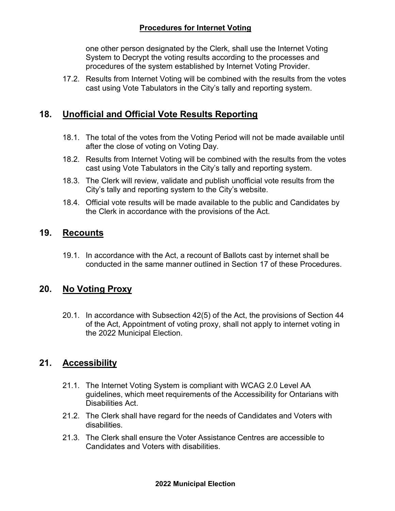one other person designated by the Clerk, shall use the Internet Voting System to Decrypt the voting results according to the processes and procedures of the system established by Internet Voting Provider.

17.2. Results from Internet Voting will be combined with the results from the votes cast using Vote Tabulators in the City's tally and reporting system.

## <span id="page-12-0"></span>**18. Unofficial and Official Vote Results Reporting**

- 18.1. The total of the votes from the Voting Period will not be made available until after the close of voting on Voting Day.
- 18.2. Results from Internet Voting will be combined with the results from the votes cast using Vote Tabulators in the City's tally and reporting system.
- 18.3. The Clerk will review, validate and publish unofficial vote results from the City's tally and reporting system to the City's website.
- 18.4. Official vote results will be made available to the public and Candidates by the Clerk in accordance with the provisions of the Act.

## <span id="page-12-1"></span>**19. Recounts**

19.1. In accordance with the Act, a recount of Ballots cast by internet shall be conducted in the same manner outlined in Section 17 of these Procedures.

# <span id="page-12-2"></span>**20. No Voting Proxy**

20.1. In accordance with Subsection 42(5) of the Act, the provisions of Section 44 of the Act, Appointment of voting proxy, shall not apply to internet voting in the 2022 Municipal Election.

# <span id="page-12-3"></span>**21. Accessibility**

- 21.1. The Internet Voting System is compliant with WCAG 2.0 Level AA guidelines, which meet requirements of the Accessibility for Ontarians with Disabilities Act.
- 21.2. The Clerk shall have regard for the needs of Candidates and Voters with disabilities.
- 21.3. The Clerk shall ensure the Voter Assistance Centres are accessible to Candidates and Voters with disabilities.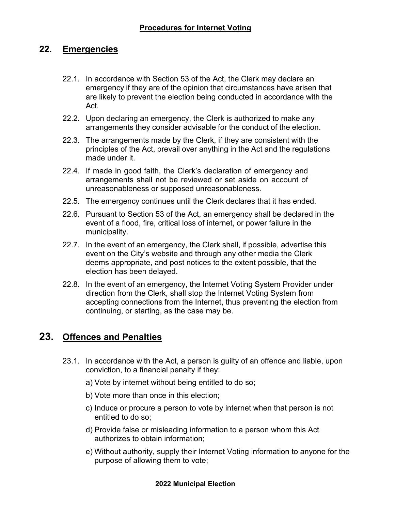### <span id="page-13-0"></span>**22. Emergencies**

- 22.1. In accordance with Section 53 of the Act, the Clerk may declare an emergency if they are of the opinion that circumstances have arisen that are likely to prevent the election being conducted in accordance with the Act.
- 22.2. Upon declaring an emergency, the Clerk is authorized to make any arrangements they consider advisable for the conduct of the election.
- 22.3. The arrangements made by the Clerk, if they are consistent with the principles of the Act, prevail over anything in the Act and the regulations made under it.
- 22.4. If made in good faith, the Clerk's declaration of emergency and arrangements shall not be reviewed or set aside on account of unreasonableness or supposed unreasonableness.
- 22.5. The emergency continues until the Clerk declares that it has ended.
- 22.6. Pursuant to Section 53 of the Act, an emergency shall be declared in the event of a flood, fire, critical loss of internet, or power failure in the municipality.
- 22.7. In the event of an emergency, the Clerk shall, if possible, advertise this event on the City's website and through any other media the Clerk deems appropriate, and post notices to the extent possible, that the election has been delayed.
- 22.8. In the event of an emergency, the Internet Voting System Provider under direction from the Clerk, shall stop the Internet Voting System from accepting connections from the Internet, thus preventing the election from continuing, or starting, as the case may be.

## <span id="page-13-1"></span>**23. Offences and Penalties**

- 23.1. In accordance with the Act, a person is guilty of an offence and liable, upon conviction, to a financial penalty if they:
	- a) Vote by internet without being entitled to do so;
	- b) Vote more than once in this election;
	- c) Induce or procure a person to vote by internet when that person is not entitled to do so;
	- d) Provide false or misleading information to a person whom this Act authorizes to obtain information;
	- e) Without authority, supply their Internet Voting information to anyone for the purpose of allowing them to vote;